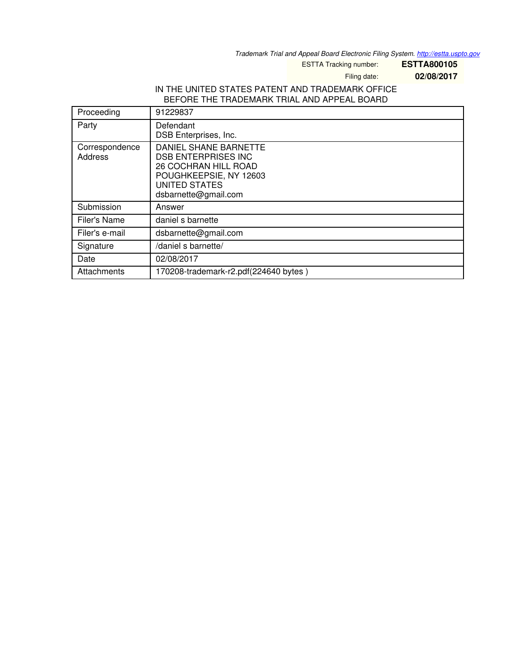*Trademark Trial and Appeal Board Electronic Filing System. <http://estta.uspto.gov>*

ESTTA Tracking number: **ESTTA800105**

Filing date: **02/08/2017**

## IN THE UNITED STATES PATENT AND TRADEMARK OFFICE BEFORE THE TRADEMARK TRIAL AND APPEAL BOARD

| Proceeding                | 91229837                                                                                                                                                     |
|---------------------------|--------------------------------------------------------------------------------------------------------------------------------------------------------------|
| Party                     | Defendant<br>DSB Enterprises, Inc.                                                                                                                           |
| Correspondence<br>Address | DANIEL SHANE BARNETTE<br><b>DSB ENTERPRISES INC</b><br><b>26 COCHRAN HILL ROAD</b><br>POUGHKEEPSIE, NY 12603<br><b>UNITED STATES</b><br>dsbarnette@gmail.com |
| Submission                | Answer                                                                                                                                                       |
| Filer's Name              | daniel s barnette                                                                                                                                            |
| Filer's e-mail            | dsbarnette@gmail.com                                                                                                                                         |
| Signature                 | /daniel s barnette/                                                                                                                                          |
| Date                      | 02/08/2017                                                                                                                                                   |
| Attachments               | 170208-trademark-r2.pdf(224640 bytes)                                                                                                                        |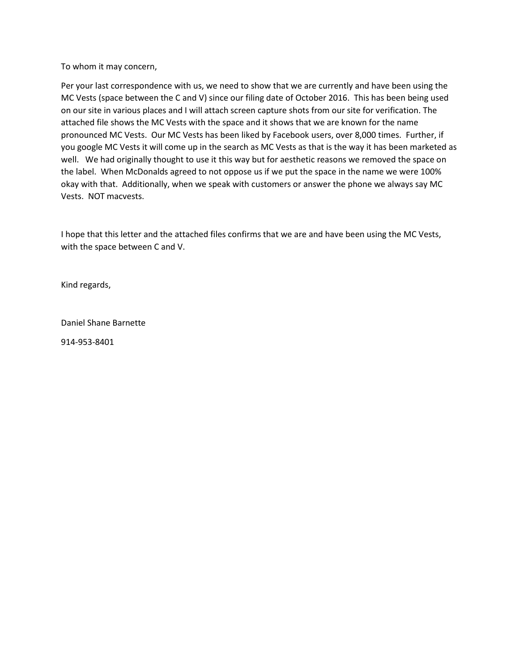To whom it may concern,

Per your last correspondence with us, we need to show that we are currently and have been using the MC Vests (space between the C and V) since our filing date of October 2016. This has been being used on our site in various places and I will attach screen capture shots from our site for verification. The attached file shows the MC Vests with the space and it shows that we are known for the name pronounced MC Vests. Our MC Vests has been liked by Facebook users, over 8,000 times. Further, if you google MC Vests it will come up in the search as MC Vests as that is the way it has been marketed as well. We had originally thought to use it this way but for aesthetic reasons we removed the space on the label. When McDonalds agreed to not oppose us if we put the space in the name we were 100% okay with that. Additionally, when we speak with customers or answer the phone we always say MC Vests. NOT macvests.

I hope that this letter and the attached files confirms that we are and have been using the MC Vests, with the space between C and V.

Kind regards,

Daniel Shane Barnette

914-953-8401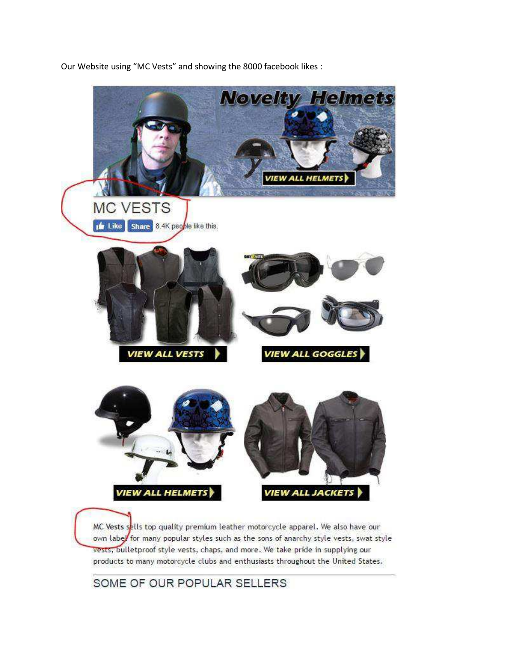

Our Website using "MC Vests" and showing the 8000 facebook likes :

MC Vests sells top quality premium leather motorcycle apparel. We also have our own label for many popular styles such as the sons of anarchy style vests, swat style vests, bulletproof style vests, chaps, and more. We take pride in supplying our products to many motorcycle clubs and enthusiasts throughout the United States.

SOME OF OUR POPULAR SELLERS